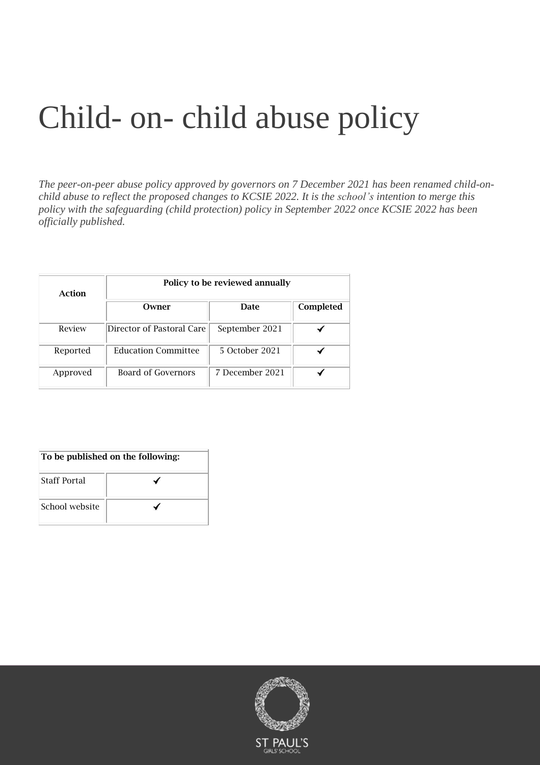# Child- on- child abuse policy

*The peer-on-peer abuse policy approved by governors on 7 December 2021 has been renamed child-onchild abuse to reflect the proposed changes to KCSIE 2022. It is the school's intention to merge this policy with the safeguarding (child protection) policy in September 2022 once KCSIE 2022 has been officially published.*

| Action   | Policy to be reviewed annually |                 |           |  |
|----------|--------------------------------|-----------------|-----------|--|
|          | Owner                          | Date            | Completed |  |
| Review   | Director of Pastoral Care      | September 2021  |           |  |
| Reported | <b>Education Committee</b>     | 5 October 2021  |           |  |
| Approved | Board of Governors             | 7 December 2021 |           |  |

## To be published on the following:

| <b>Staff Portal</b> |  |
|---------------------|--|
| School website      |  |

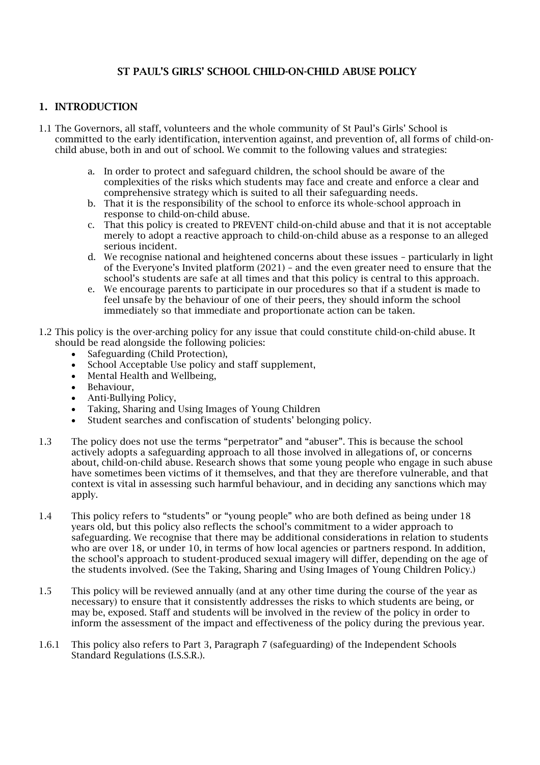## ST PAUL'S GIRLS' SCHOOL CHILD-ON-CHILD ABUSE POLICY

## 1. INTRODUCTION

- 1.1 The Governors, all staff, volunteers and the whole community of St Paul's Girls' School is committed to the early identification, intervention against, and prevention of, all forms of child-onchild abuse, both in and out of school. We commit to the following values and strategies:
	- a. In order to protect and safeguard children, the school should be aware of the complexities of the risks which students may face and create and enforce a clear and comprehensive strategy which is suited to all their safeguarding needs.
	- b. That it is the responsibility of the school to enforce its whole-school approach in response to child-on-child abuse.
	- c. That this policy is created to PREVENT child-on-child abuse and that it is not acceptable merely to adopt a reactive approach to child-on-child abuse as a response to an alleged serious incident.
	- d. We recognise national and heightened concerns about these issues particularly in light of the Everyone's Invited platform (2021) – and the even greater need to ensure that the school's students are safe at all times and that this policy is central to this approach.
	- e. We encourage parents to participate in our procedures so that if a student is made to feel unsafe by the behaviour of one of their peers, they should inform the school immediately so that immediate and proportionate action can be taken.
- 1.2 This policy is the over-arching policy for any issue that could constitute child-on-child abuse. It should be read alongside the following policies:
	- Safeguarding (Child Protection),
	- School Acceptable Use policy and staff supplement,
	- Mental Health and Wellbeing,
	- Behaviour,
	- Anti-Bullying Policy.
	- Taking, Sharing and Using Images of Young Children
	- Student searches and confiscation of students' belonging policy.
- 1.3 The policy does not use the terms "perpetrator" and "abuser". This is because the school actively adopts a safeguarding approach to all those involved in allegations of, or concerns about, child-on-child abuse. Research shows that some young people who engage in such abuse have sometimes been victims of it themselves, and that they are therefore vulnerable, and that context is vital in assessing such harmful behaviour, and in deciding any sanctions which may apply.
- 1.4 This policy refers to "students" or "young people" who are both defined as being under 18 years old, but this policy also reflects the school's commitment to a wider approach to safeguarding. We recognise that there may be additional considerations in relation to students who are over 18, or under 10, in terms of how local agencies or partners respond. In addition, the school's approach to student-produced sexual imagery will differ, depending on the age of the students involved. (See the Taking, Sharing and Using Images of Young Children Policy.)
- 1.5 This policy will be reviewed annually (and at any other time during the course of the year as necessary) to ensure that it consistently addresses the risks to which students are being, or may be, exposed. Staff and students will be involved in the review of the policy in order to inform the assessment of the impact and effectiveness of the policy during the previous year.
- 1.6.1 This policy also refers to Part 3, Paragraph 7 (safeguarding) of the Independent Schools Standard Regulations (I.S.S.R.).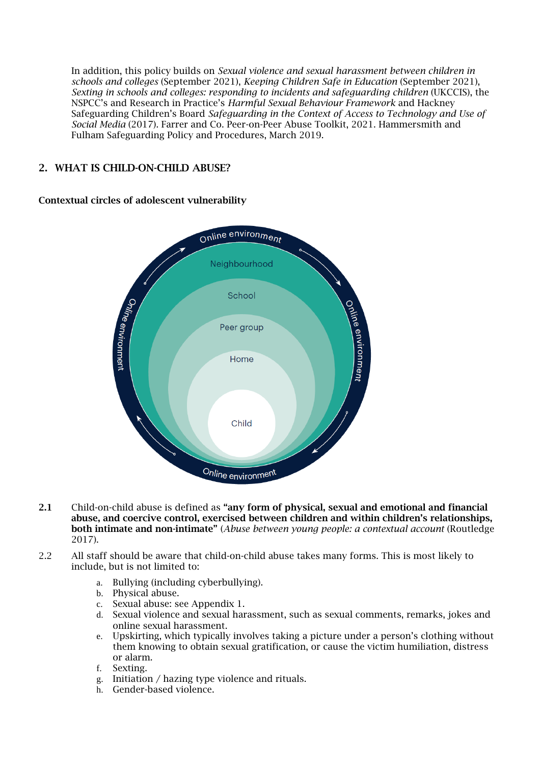In addition, this policy builds on *Sexual violence and sexual harassment between children in schools and colleges* (September 2021), *Keeping Children Safe in Education* (September 2021), *Sexting in schools and colleges: responding to incidents and safeguarding children* (UKCCIS), the NSPCC's and Research in Practice's *Harmful Sexual Behaviour Framework* and Hackney Safeguarding Children's Board *Safeguarding in the Context of Access to Technology and Use of Social Media* (2017). Farrer and Co. Peer-on-Peer Abuse Toolkit, 2021. Hammersmith and Fulham Safeguarding Policy and Procedures, March 2019.

## 2. WHAT IS CHILD-ON-CHILD ABUSE?

## Contextual circles of adolescent vulnerability



- 2.1 Child-on-child abuse is defined as "any form of physical, sexual and emotional and financial abuse, and coercive control, exercised between children and within children's relationships, both intimate and non-intimate" (*Abuse between young people: a contextual account* (Routledge 2017).
- 2.2 All staff should be aware that child-on-child abuse takes many forms. This is most likely to include, but is not limited to:
	- a. Bullying (including cyberbullying).
	- b. Physical abuse.
	- c. Sexual abuse: see Appendix 1.
	- d. Sexual violence and sexual harassment, such as sexual comments, remarks, jokes and online sexual harassment.
	- e. Upskirting, which typically involves taking a picture under a person's clothing without them knowing to obtain sexual gratification, or cause the victim humiliation, distress or alarm.
	- f. Sexting.
	- g. Initiation / hazing type violence and rituals.
	- h. Gender-based violence.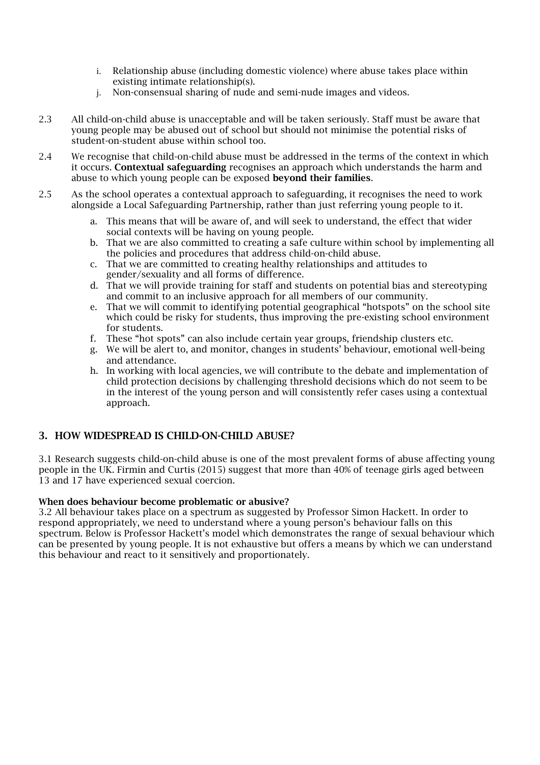- i. Relationship abuse (including domestic violence) where abuse takes place within existing intimate relationship(s).
- j. Non-consensual sharing of nude and semi-nude images and videos.
- 2.3 All child-on-child abuse is unacceptable and will be taken seriously. Staff must be aware that young people may be abused out of school but should not minimise the potential risks of student-on-student abuse within school too.
- 2.4 We recognise that child-on-child abuse must be addressed in the terms of the context in which it occurs. Contextual safeguarding recognises an approach which understands the harm and abuse to which young people can be exposed beyond their families.
- 2.5 As the school operates a contextual approach to safeguarding, it recognises the need to work alongside a Local Safeguarding Partnership, rather than just referring young people to it.
	- a. This means that will be aware of, and will seek to understand, the effect that wider social contexts will be having on young people.
	- b. That we are also committed to creating a safe culture within school by implementing all the policies and procedures that address child-on-child abuse.
	- c. That we are committed to creating healthy relationships and attitudes to gender/sexuality and all forms of difference.
	- d. That we will provide training for staff and students on potential bias and stereotyping and commit to an inclusive approach for all members of our community.
	- e. That we will commit to identifying potential geographical "hotspots" on the school site which could be risky for students, thus improving the pre-existing school environment for students.
	- f. These "hot spots" can also include certain year groups, friendship clusters etc.
	- g. We will be alert to, and monitor, changes in students' behaviour, emotional well-being and attendance.
	- h. In working with local agencies, we will contribute to the debate and implementation of child protection decisions by challenging threshold decisions which do not seem to be in the interest of the young person and will consistently refer cases using a contextual approach.

## 3. HOW WIDESPREAD IS CHILD-ON-CHILD ABUSE?

3.1 Research suggests child-on-child abuse is one of the most prevalent forms of abuse affecting young people in the UK. Firmin and Curtis (2015) suggest that more than 40% of teenage girls aged between 13 and 17 have experienced sexual coercion.

#### When does behaviour become problematic or abusive?

3.2 All behaviour takes place on a spectrum as suggested by Professor Simon Hackett. In order to respond appropriately, we need to understand where a young person's behaviour falls on this spectrum. Below is Professor Hackett's model which demonstrates the range of sexual behaviour which can be presented by young people. It is not exhaustive but offers a means by which we can understand this behaviour and react to it sensitively and proportionately.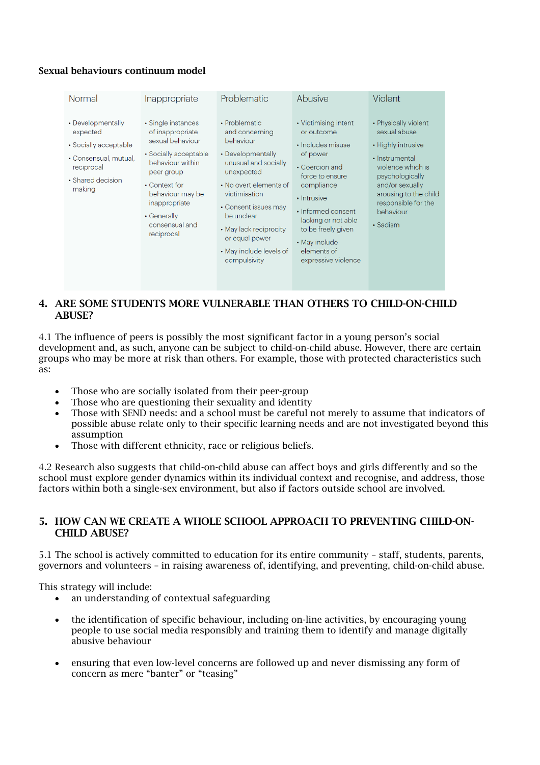## Sexual behaviours continuum model

| Normal                                                                                                                       | Inappropriate                                                                                                                                                                                                              | Problematic                                                                                                                                                                                                                                                                     | Abusive                                                                                                                                                                                                                                                         | Violent                                                                                                                                                                                                                |
|------------------------------------------------------------------------------------------------------------------------------|----------------------------------------------------------------------------------------------------------------------------------------------------------------------------------------------------------------------------|---------------------------------------------------------------------------------------------------------------------------------------------------------------------------------------------------------------------------------------------------------------------------------|-----------------------------------------------------------------------------------------------------------------------------------------------------------------------------------------------------------------------------------------------------------------|------------------------------------------------------------------------------------------------------------------------------------------------------------------------------------------------------------------------|
| • Developmentally<br>expected<br>• Socially acceptable<br>• Consensual, mutual,<br>reciprocal<br>• Shared decision<br>making | • Single instances<br>of inappropriate<br>sexual behaviour<br>• Socially acceptable<br>behaviour within<br>peer group<br>• Context for<br>behaviour may be<br>inappropriate<br>• Generally<br>consensual and<br>reciprocal | • Problematic<br>and concerning<br>behaviour<br>• Developmentally<br>unusual and socially<br>unexpected<br>• No overt elements of<br>victimisation<br>• Consent issues may<br>be unclear<br>• May lack reciprocity<br>or equal power<br>• May include levels of<br>compulsivity | • Victimising intent<br>or outcome<br>· Includes misuse<br>of power<br>• Coercion and<br>force to ensure<br>compliance<br>• Intrusive<br>• Informed consent<br>lacking or not able<br>to be freely given<br>• May include<br>elements of<br>expressive violence | • Physically violent<br>sexual abuse<br>• Highly intrusive<br>• Instrumental<br>violence which is<br>psychologically<br>and/or sexually<br>arousing to the child<br>responsible for the<br>behaviour<br>$\cdot$ Sadism |

## 4. ARE SOME STUDENTS MORE VULNERABLE THAN OTHERS TO CHILD-ON-CHILD ABUSE?

4.1 The influence of peers is possibly the most significant factor in a young person's social development and, as such, anyone can be subject to child-on-child abuse. However, there are certain groups who may be more at risk than others. For example, those with protected characteristics such as:

- Those who are socially isolated from their peer-group
- Those who are questioning their sexuality and identity
- Those with SEND needs: and a school must be careful not merely to assume that indicators of possible abuse relate only to their specific learning needs and are not investigated beyond this assumption
- Those with different ethnicity, race or religious beliefs.

4.2 Research also suggests that child-on-child abuse can affect boys and girls differently and so the school must explore gender dynamics within its individual context and recognise, and address, those factors within both a single-sex environment, but also if factors outside school are involved.

### 5. HOW CAN WE CREATE A WHOLE SCHOOL APPROACH TO PREVENTING CHILD-ON-CHILD ABUSE?

5.1 The school is actively committed to education for its entire community – staff, students, parents, governors and volunteers – in raising awareness of, identifying, and preventing, child-on-child abuse.

This strategy will include:

- an understanding of contextual safeguarding
- the identification of specific behaviour, including on-line activities, by encouraging young people to use social media responsibly and training them to identify and manage digitally abusive behaviour
- ensuring that even low-level concerns are followed up and never dismissing any form of concern as mere "banter" or "teasing"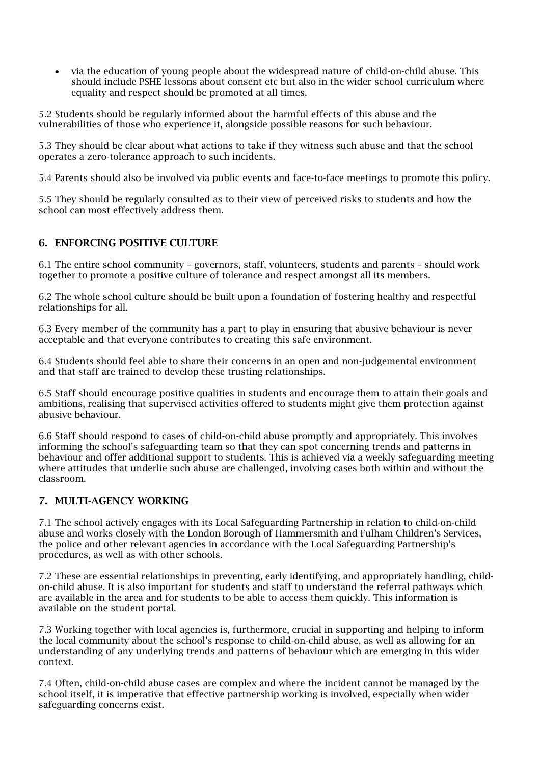• via the education of young people about the widespread nature of child-on-child abuse. This should include PSHE lessons about consent etc but also in the wider school curriculum where equality and respect should be promoted at all times.

5.2 Students should be regularly informed about the harmful effects of this abuse and the vulnerabilities of those who experience it, alongside possible reasons for such behaviour.

5.3 They should be clear about what actions to take if they witness such abuse and that the school operates a zero-tolerance approach to such incidents.

5.4 Parents should also be involved via public events and face-to-face meetings to promote this policy.

5.5 They should be regularly consulted as to their view of perceived risks to students and how the school can most effectively address them.

## 6. ENFORCING POSITIVE CULTURE

6.1 The entire school community – governors, staff, volunteers, students and parents – should work together to promote a positive culture of tolerance and respect amongst all its members.

6.2 The whole school culture should be built upon a foundation of fostering healthy and respectful relationships for all.

6.3 Every member of the community has a part to play in ensuring that abusive behaviour is never acceptable and that everyone contributes to creating this safe environment.

6.4 Students should feel able to share their concerns in an open and non-judgemental environment and that staff are trained to develop these trusting relationships.

6.5 Staff should encourage positive qualities in students and encourage them to attain their goals and ambitions, realising that supervised activities offered to students might give them protection against abusive behaviour.

6.6 Staff should respond to cases of child-on-child abuse promptly and appropriately. This involves informing the school's safeguarding team so that they can spot concerning trends and patterns in behaviour and offer additional support to students. This is achieved via a weekly safeguarding meeting where attitudes that underlie such abuse are challenged, involving cases both within and without the classroom.

## 7. MULTI-AGENCY WORKING

7.1 The school actively engages with its Local Safeguarding Partnership in relation to child-on-child abuse and works closely with the London Borough of Hammersmith and Fulham Children's Services, the police and other relevant agencies in accordance with the Local Safeguarding Partnership's procedures, as well as with other schools.

7.2 These are essential relationships in preventing, early identifying, and appropriately handling, childon-child abuse. It is also important for students and staff to understand the referral pathways which are available in the area and for students to be able to access them quickly. This information is available on the student portal.

7.3 Working together with local agencies is, furthermore, crucial in supporting and helping to inform the local community about the school's response to child-on-child abuse, as well as allowing for an understanding of any underlying trends and patterns of behaviour which are emerging in this wider context.

7.4 Often, child-on-child abuse cases are complex and where the incident cannot be managed by the school itself, it is imperative that effective partnership working is involved, especially when wider safeguarding concerns exist.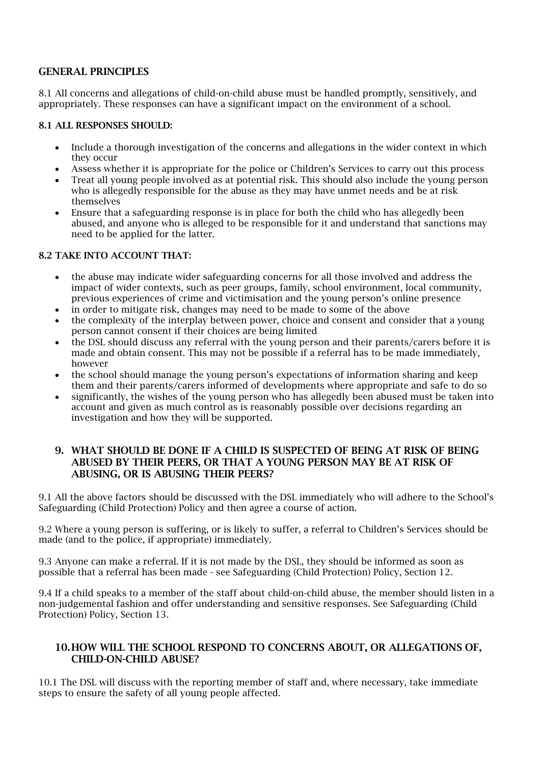## GENERAL PRINCIPLES

8.1 All concerns and allegations of child-on-child abuse must be handled promptly, sensitively, and appropriately. These responses can have a significant impact on the environment of a school.

#### 8.1 ALL RESPONSES SHOULD:

- Include a thorough investigation of the concerns and allegations in the wider context in which they occur
- Assess whether it is appropriate for the police or Children's Services to carry out this process
- Treat all young people involved as at potential risk. This should also include the young person who is allegedly responsible for the abuse as they may have unmet needs and be at risk themselves
- Ensure that a safeguarding response is in place for both the child who has allegedly been abused, and anyone who is alleged to be responsible for it and understand that sanctions may need to be applied for the latter.

### 8.2 TAKE INTO ACCOUNT THAT:

- the abuse may indicate wider safeguarding concerns for all those involved and address the impact of wider contexts, such as peer groups, family, school environment, local community, previous experiences of crime and victimisation and the young person's online presence
- in order to mitigate risk, changes may need to be made to some of the above
- the complexity of the interplay between power, choice and consent and consider that a young person cannot consent if their choices are being limited
- the DSL should discuss any referral with the young person and their parents/carers before it is made and obtain consent. This may not be possible if a referral has to be made immediately, however
- the school should manage the young person's expectations of information sharing and keep them and their parents/carers informed of developments where appropriate and safe to do so
- significantly, the wishes of the young person who has allegedly been abused must be taken into account and given as much control as is reasonably possible over decisions regarding an investigation and how they will be supported.

## 9. WHAT SHOULD BE DONE IF A CHILD IS SUSPECTED OF BEING AT RISK OF BEING ABUSED BY THEIR PEERS, OR THAT A YOUNG PERSON MAY BE AT RISK OF ABUSING, OR IS ABUSING THEIR PEERS?

9.1 All the above factors should be discussed with the DSL immediately who will adhere to the School's Safeguarding (Child Protection) Policy and then agree a course of action.

9.2 Where a young person is suffering, or is likely to suffer, a referral to Children's Services should be made (and to the police, if appropriate) immediately.

9.3 Anyone can make a referral. If it is not made by the DSL, they should be informed as soon as possible that a referral has been made - see Safeguarding (Child Protection) Policy, Section 12.

9.4 If a child speaks to a member of the staff about child-on-child abuse, the member should listen in a non-judgemental fashion and offer understanding and sensitive responses. See Safeguarding (Child Protection) Policy, Section 13.

## 10.HOW WILL THE SCHOOL RESPOND TO CONCERNS ABOUT, OR ALLEGATIONS OF, CHILD-ON-CHILD ABUSE?

10.1 The DSL will discuss with the reporting member of staff and, where necessary, take immediate steps to ensure the safety of all young people affected.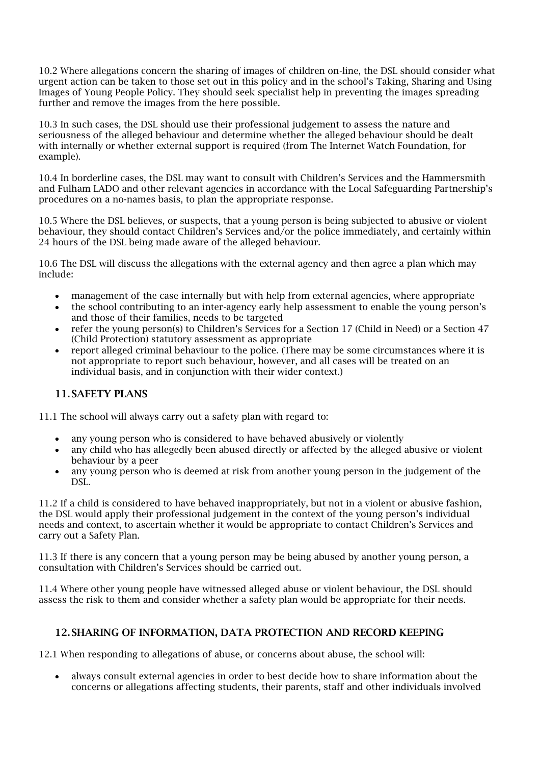10.2 Where allegations concern the sharing of images of children on-line, the DSL should consider what urgent action can be taken to those set out in this policy and in the school's Taking, Sharing and Using Images of Young People Policy. They should seek specialist help in preventing the images spreading further and remove the images from the here possible.

10.3 In such cases, the DSL should use their professional judgement to assess the nature and seriousness of the alleged behaviour and determine whether the alleged behaviour should be dealt with internally or whether external support is required (from The Internet Watch Foundation, for example).

10.4 In borderline cases, the DSL may want to consult with Children's Services and the Hammersmith and Fulham LADO and other relevant agencies in accordance with the Local Safeguarding Partnership's procedures on a no-names basis, to plan the appropriate response.

10.5 Where the DSL believes, or suspects, that a young person is being subjected to abusive or violent behaviour, they should contact Children's Services and/or the police immediately, and certainly within 24 hours of the DSL being made aware of the alleged behaviour.

10.6 The DSL will discuss the allegations with the external agency and then agree a plan which may include:

- management of the case internally but with help from external agencies, where appropriate
- the school contributing to an inter-agency early help assessment to enable the young person's and those of their families, needs to be targeted
- refer the young person(s) to Children's Services for a Section 17 (Child in Need) or a Section 47 (Child Protection) statutory assessment as appropriate
- report alleged criminal behaviour to the police. (There may be some circumstances where it is not appropriate to report such behaviour, however, and all cases will be treated on an individual basis, and in conjunction with their wider context.)

## 11.SAFETY PLANS

11.1 The school will always carry out a safety plan with regard to:

- any young person who is considered to have behaved abusively or violently
- any child who has allegedly been abused directly or affected by the alleged abusive or violent behaviour by a peer
- any young person who is deemed at risk from another young person in the judgement of the DSL.

11.2 If a child is considered to have behaved inappropriately, but not in a violent or abusive fashion, the DSL would apply their professional judgement in the context of the young person's individual needs and context, to ascertain whether it would be appropriate to contact Children's Services and carry out a Safety Plan.

11.3 If there is any concern that a young person may be being abused by another young person, a consultation with Children's Services should be carried out.

11.4 Where other young people have witnessed alleged abuse or violent behaviour, the DSL should assess the risk to them and consider whether a safety plan would be appropriate for their needs.

## 12.SHARING OF INFORMATION, DATA PROTECTION AND RECORD KEEPING

12.1 When responding to allegations of abuse, or concerns about abuse, the school will:

• always consult external agencies in order to best decide how to share information about the concerns or allegations affecting students, their parents, staff and other individuals involved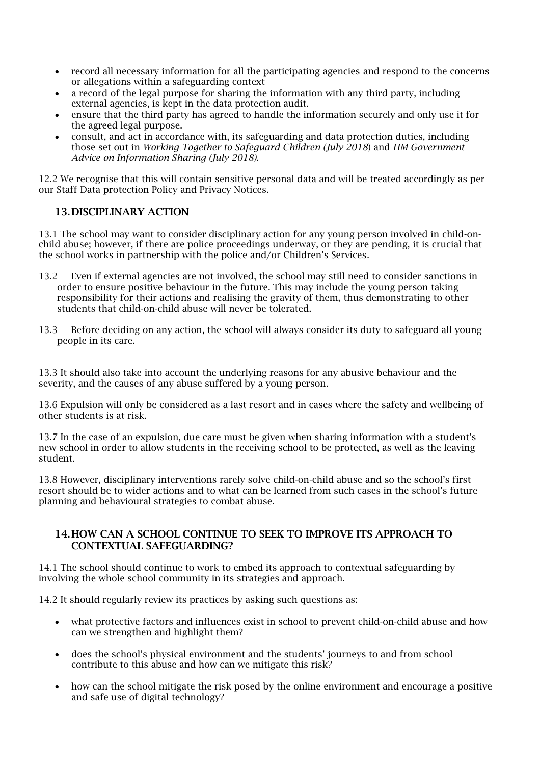- record all necessary information for all the participating agencies and respond to the concerns or allegations within a safeguarding context
- a record of the legal purpose for sharing the information with any third party, including external agencies, is kept in the data protection audit.
- ensure that the third party has agreed to handle the information securely and only use it for the agreed legal purpose.
- consult, and act in accordance with, its safeguarding and data protection duties, including those set out in *Working Together to Safeguard Children (July 2018*) and *HM Government Advice on Information Sharing (July 2018).*

12.2 We recognise that this will contain sensitive personal data and will be treated accordingly as per our Staff Data protection Policy and Privacy Notices.

## 13.DISCIPLINARY ACTION

13.1 The school may want to consider disciplinary action for any young person involved in child-onchild abuse; however, if there are police proceedings underway, or they are pending, it is crucial that the school works in partnership with the police and/or Children's Services.

- 13.2 Even if external agencies are not involved, the school may still need to consider sanctions in order to ensure positive behaviour in the future. This may include the young person taking responsibility for their actions and realising the gravity of them, thus demonstrating to other students that child-on-child abuse will never be tolerated.
- 13.3 Before deciding on any action, the school will always consider its duty to safeguard all young people in its care.

13.3 It should also take into account the underlying reasons for any abusive behaviour and the severity, and the causes of any abuse suffered by a young person.

13.6 Expulsion will only be considered as a last resort and in cases where the safety and wellbeing of other students is at risk.

13.7 In the case of an expulsion, due care must be given when sharing information with a student's new school in order to allow students in the receiving school to be protected, as well as the leaving student.

13.8 However, disciplinary interventions rarely solve child-on-child abuse and so the school's first resort should be to wider actions and to what can be learned from such cases in the school's future planning and behavioural strategies to combat abuse.

## 14.HOW CAN A SCHOOL CONTINUE TO SEEK TO IMPROVE ITS APPROACH TO CONTEXTUAL SAFEGUARDING?

14.1 The school should continue to work to embed its approach to contextual safeguarding by involving the whole school community in its strategies and approach.

14.2 It should regularly review its practices by asking such questions as:

- what protective factors and influences exist in school to prevent child-on-child abuse and how can we strengthen and highlight them?
- does the school's physical environment and the students' journeys to and from school contribute to this abuse and how can we mitigate this risk?
- how can the school mitigate the risk posed by the online environment and encourage a positive and safe use of digital technology?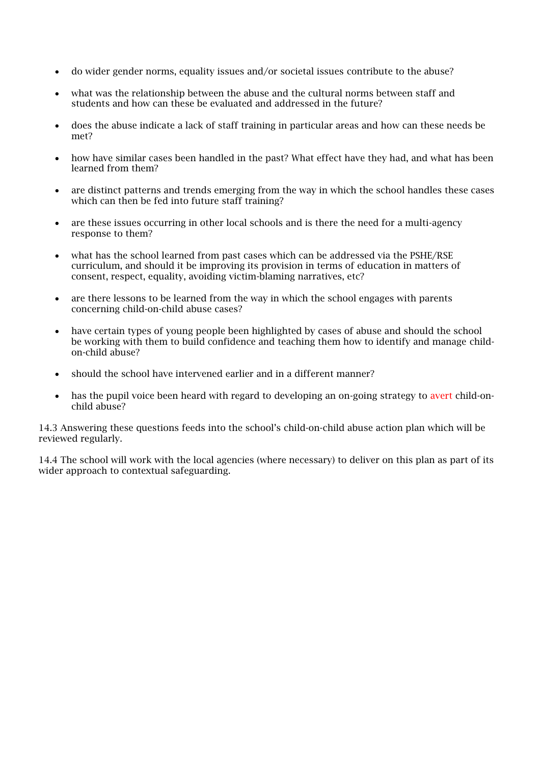- do wider gender norms, equality issues and/or societal issues contribute to the abuse?
- what was the relationship between the abuse and the cultural norms between staff and students and how can these be evaluated and addressed in the future?
- does the abuse indicate a lack of staff training in particular areas and how can these needs be met?
- how have similar cases been handled in the past? What effect have they had, and what has been learned from them?
- are distinct patterns and trends emerging from the way in which the school handles these cases which can then be fed into future staff training?
- are these issues occurring in other local schools and is there the need for a multi-agency response to them?
- what has the school learned from past cases which can be addressed via the PSHE/RSE curriculum, and should it be improving its provision in terms of education in matters of consent, respect, equality, avoiding victim-blaming narratives, etc?
- are there lessons to be learned from the way in which the school engages with parents concerning child-on-child abuse cases?
- have certain types of young people been highlighted by cases of abuse and should the school be working with them to build confidence and teaching them how to identify and manage childon-child abuse?
- should the school have intervened earlier and in a different manner?
- has the pupil voice been heard with regard to developing an on-going strategy to avert child-onchild abuse?

14.3 Answering these questions feeds into the school's child-on-child abuse action plan which will be reviewed regularly.

14.4 The school will work with the local agencies (where necessary) to deliver on this plan as part of its wider approach to contextual safeguarding.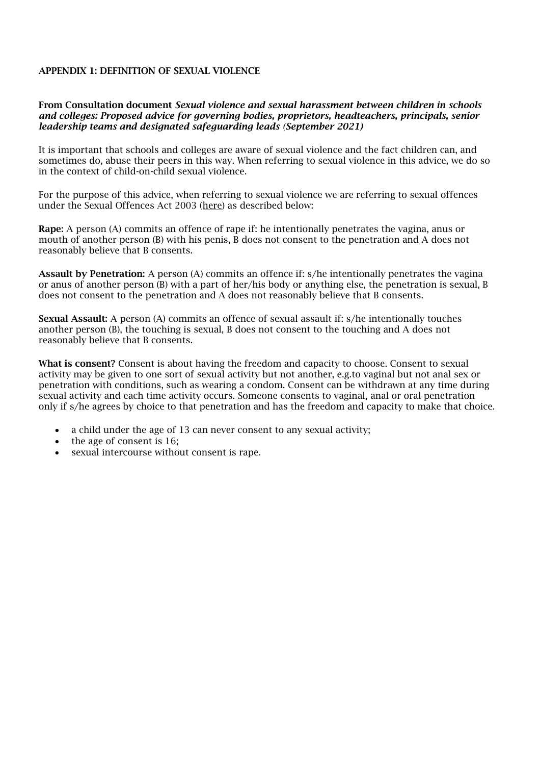#### APPENDIX 1: DEFINITION OF SEXUAL VIOLENCE

#### From Consultation document *Sexual violence and sexual harassment between children in schools and colleges: Proposed advice for governing bodies, proprietors, headteachers, principals, senior leadership teams and designated safeguarding leads (September 2021)*

It is important that schools and colleges are aware of sexual violence and the fact children can, and sometimes do, abuse their peers in this way. When referring to sexual violence in this advice, we do so in the context of child-on-child sexual violence.

For the purpose of this advice, when referring to sexual violence we are referring to sexual offences under the Sexual Offences Act 2003 [\(here\)](https://www.legislation.gov.uk/) as described below:

Rape: A person (A) commits an offence of rape if: he intentionally penetrates the vagina, anus or mouth of another person (B) with his penis, B does not consent to the penetration and A does not reasonably believe that B consents.

Assault by Penetration: A person (A) commits an offence if: s/he intentionally penetrates the vagina or anus of another person (B) with a part of her/his body or anything else, the penetration is sexual, B does not consent to the penetration and A does not reasonably believe that B consents.

Sexual Assault: A person (A) commits an offence of sexual assault if: s/he intentionally touches another person (B), the touching is sexual, B does not consent to the touching and A does not reasonably believe that B consents.

What is consent? Consent is about having the freedom and capacity to choose. Consent to sexual activity may be given to one sort of sexual activity but not another, e.g.to vaginal but not anal sex or penetration with conditions, such as wearing a condom. Consent can be withdrawn at any time during sexual activity and each time activity occurs. Someone consents to vaginal, anal or oral penetration only if s/he agrees by choice to that penetration and has the freedom and capacity to make that choice.

- a child under the age of 13 can never consent to any sexual activity;
- the age of consent is 16;
- sexual intercourse without consent is rape.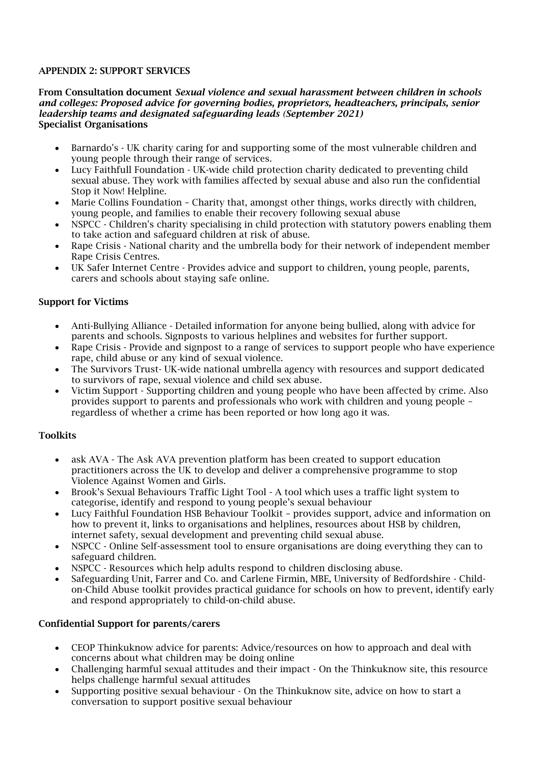## APPENDIX 2: SUPPORT SERVICES

#### From Consultation document *Sexual violence and sexual harassment between children in schools and colleges: Proposed advice for governing bodies, proprietors, headteachers, principals, senior leadership teams and designated safeguarding leads (September 2021)* Specialist Organisations

- Barnardo's UK charity caring for and supporting some of the most vulnerable children and young people through their range of services.
- Lucy Faithfull Foundation UK-wide child protection charity dedicated to preventing child sexual abuse. They work with families affected by sexual abuse and also run the confidential Stop it Now! Helpline.
- Marie Collins Foundation Charity that, amongst other things, works directly with children, young people, and families to enable their recovery following sexual abuse
- NSPCC Children's charity specialising in child protection with statutory powers enabling them to take action and safeguard children at risk of abuse.
- Rape Crisis National charity and the umbrella body for their network of independent member Rape Crisis Centres.
- UK Safer Internet Centre Provides advice and support to children, young people, parents, carers and schools about staying safe online.

### Support for Victims

- Anti-Bullying Alliance Detailed information for anyone being bullied, along with advice for parents and schools. Signposts to various helplines and websites for further support.
- Rape Crisis Provide and signpost to a range of services to support people who have experience rape, child abuse or any kind of sexual violence.
- The Survivors Trust- UK-wide national umbrella agency with resources and support dedicated to survivors of rape, sexual violence and child sex abuse.
- Victim Support Supporting children and young people who have been affected by crime. Also provides support to parents and professionals who work with children and young people – regardless of whether a crime has been reported or how long ago it was.

#### **Toolkits**

- ask AVA The Ask AVA prevention platform has been created to support education practitioners across the UK to develop and deliver a comprehensive programme to stop Violence Against Women and Girls.
- Brook's Sexual Behaviours Traffic Light Tool A tool which uses a traffic light system to categorise, identify and respond to young people's sexual behaviour
- Lucy Faithful Foundation HSB Behaviour Toolkit provides support, advice and information on how to prevent it, links to organisations and helplines, resources about HSB by children, internet safety, sexual development and preventing child sexual abuse.
- NSPCC Online Self-assessment tool to ensure organisations are doing everything they can to safeguard children.
- NSPCC Resources which help adults respond to children disclosing abuse.
- Safeguarding Unit, Farrer and Co. and Carlene Firmin, MBE, University of Bedfordshire Childon-Child Abuse toolkit provides practical guidance for schools on how to prevent, identify early and respond appropriately to child-on-child abuse.

#### Confidential Support for parents/carers

- CEOP Thinkuknow advice for parents: Advice/resources on how to approach and deal with concerns about what children may be doing online
- Challenging harmful sexual attitudes and their impact On the Thinkuknow site, this resource helps challenge harmful sexual attitudes
- Supporting positive sexual behaviour On the Thinkuknow site, advice on how to start a conversation to support positive sexual behaviour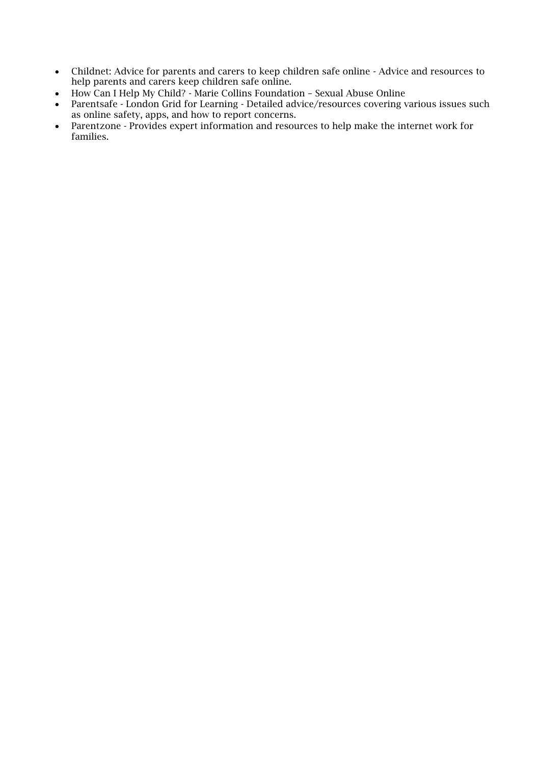- Childnet: Advice for parents and carers to keep children safe online Advice and resources to help parents and carers keep children safe online.
- How Can I Help My Child? Marie Collins Foundation Sexual Abuse Online
- Parentsafe London Grid for Learning Detailed advice/resources covering various issues such as online safety, apps, and how to report concerns.
- Parentzone Provides expert information and resources to help make the internet work for families.